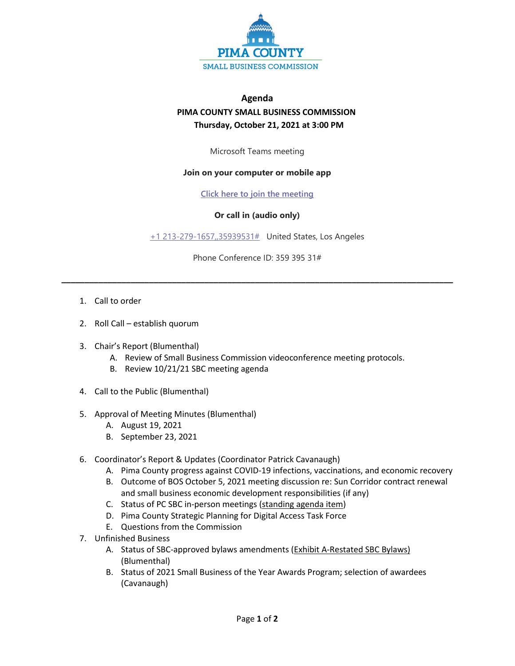

## **Agenda PIMA COUNTY SMALL BUSINESS COMMISSION Thursday, October 21, 2021 at 3:00 PM**

Microsoft Teams meeting

## **Join on your computer or mobile app**

**[Click here to join the meeting](https://teams.microsoft.com/l/meetup-join/19%3ameeting_Y2QwNzczM2YtYmIzZi00N2I5LTgyMjgtZTBjMThhYjUwMzI0%40thread.v2/0?context=%7b%22Tid%22%3a%2233b6e2c3-0b1a-4879-b741-47461a6c1a89%22%2c%22Oid%22%3a%22b6da987b-1991-4019-bc0f-915b6429e2c8%22%7d)**

## **Or call in (audio only)**

[+1 213-279-1657,,35939531#](tel:+12132791657,,35939531#%20) United States, Los Angeles

Phone Conference ID: 359 395 31#

**\_\_\_\_\_\_\_\_\_\_\_\_\_\_\_\_\_\_\_\_\_\_\_\_\_\_\_\_\_\_\_\_\_\_\_\_\_\_\_\_\_\_\_\_\_\_\_\_\_\_\_\_\_\_\_\_\_\_\_\_\_\_\_\_\_\_\_\_\_\_\_\_\_\_\_\_\_\_\_\_\_\_\_\_\_**

- 1. Call to order
- 2. Roll Call establish quorum
- 3. Chair's Report (Blumenthal)
	- A. Review of Small Business Commission videoconference meeting protocols.
	- B. Review 10/21/21 SBC meeting agenda
- 4. Call to the Public (Blumenthal)
- 5. Approval of Meeting Minutes (Blumenthal)
	- A. August 19, 2021
	- B. September 23, 2021
- 6. Coordinator's Report & Updates (Coordinator Patrick Cavanaugh)
	- A. Pima County progress against COVID-19 infections, vaccinations, and economic recovery
	- B. Outcome of BOS October 5, 2021 meeting discussion re: Sun Corridor contract renewal and small business economic development responsibilities (if any)
	- C. Status of PC SBC in-person meetings (standing agenda item)
	- D. Pima County Strategic Planning for Digital Access Task Force
	- E. Questions from the Commission
- 7. Unfinished Business
	- A. Status of SBC-approved bylaws amendments (Exhibit A-Restated SBC Bylaws) (Blumenthal)
	- B. Status of 2021 Small Business of the Year Awards Program; selection of awardees (Cavanaugh)